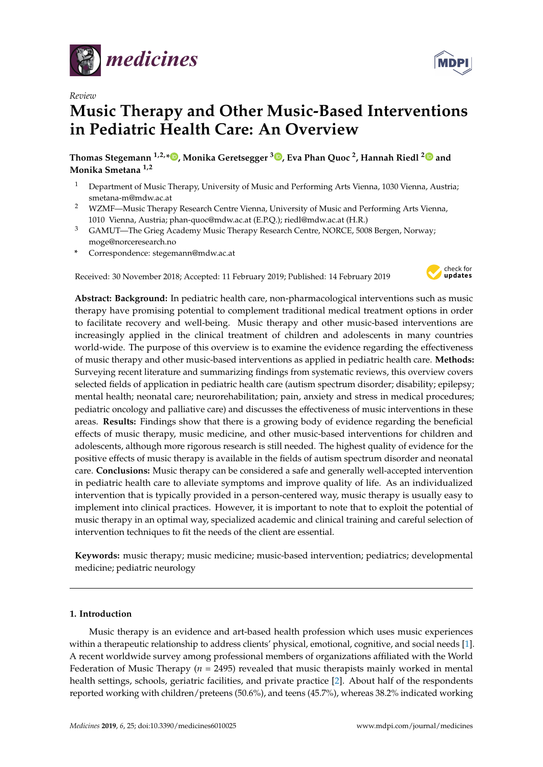

*Review*

# **Music Therapy and Other Music-Based Interventions in Pediatric Health Care: An Overview**

**Thomas Stegemann 1,2,[\\*](https://orcid.org/0000-0002-3371-7265) , Monika Geretsegger <sup>3</sup> [,](https://orcid.org/0000-0002-6219-0060) Eva Phan Quoc <sup>2</sup> , Hannah Riedl [2](https://orcid.org/0000-0001-6878-9843) and Monika Smetana 1,2**

- <sup>1</sup> Department of Music Therapy, University of Music and Performing Arts Vienna, 1030 Vienna, Austria; smetana-m@mdw.ac.at
- <sup>2</sup> WZMF—Music Therapy Research Centre Vienna, University of Music and Performing Arts Vienna, 1010 Vienna, Austria; phan-quoc@mdw.ac.at (E.P.Q.); riedl@mdw.ac.at (H.R.)
- <sup>3</sup> GAMUT—The Grieg Academy Music Therapy Research Centre, NORCE, 5008 Bergen, Norway; moge@norceresearch.no
- **\*** Correspondence: stegemann@mdw.ac.at

Received: 30 November 2018; Accepted: 11 February 2019; Published: 14 February 2019



**Abstract: Background:** In pediatric health care, non-pharmacological interventions such as music therapy have promising potential to complement traditional medical treatment options in order to facilitate recovery and well-being. Music therapy and other music-based interventions are increasingly applied in the clinical treatment of children and adolescents in many countries world-wide. The purpose of this overview is to examine the evidence regarding the effectiveness of music therapy and other music-based interventions as applied in pediatric health care. **Methods:** Surveying recent literature and summarizing findings from systematic reviews, this overview covers selected fields of application in pediatric health care (autism spectrum disorder; disability; epilepsy; mental health; neonatal care; neurorehabilitation; pain, anxiety and stress in medical procedures; pediatric oncology and palliative care) and discusses the effectiveness of music interventions in these areas. **Results:** Findings show that there is a growing body of evidence regarding the beneficial effects of music therapy, music medicine, and other music-based interventions for children and adolescents, although more rigorous research is still needed. The highest quality of evidence for the positive effects of music therapy is available in the fields of autism spectrum disorder and neonatal care. **Conclusions:** Music therapy can be considered a safe and generally well-accepted intervention in pediatric health care to alleviate symptoms and improve quality of life. As an individualized intervention that is typically provided in a person-centered way, music therapy is usually easy to implement into clinical practices. However, it is important to note that to exploit the potential of music therapy in an optimal way, specialized academic and clinical training and careful selection of intervention techniques to fit the needs of the client are essential.

**Keywords:** music therapy; music medicine; music-based intervention; pediatrics; developmental medicine; pediatric neurology

# **1. Introduction**

Music therapy is an evidence and art-based health profession which uses music experiences within a therapeutic relationship to address clients' physical, emotional, cognitive, and social needs [\[1\]](#page-9-0). A recent worldwide survey among professional members of organizations affiliated with the World Federation of Music Therapy (*n* = 2495) revealed that music therapists mainly worked in mental health settings, schools, geriatric facilities, and private practice [\[2\]](#page-9-1). About half of the respondents reported working with children/preteens (50.6%), and teens (45.7%), whereas 38.2% indicated working

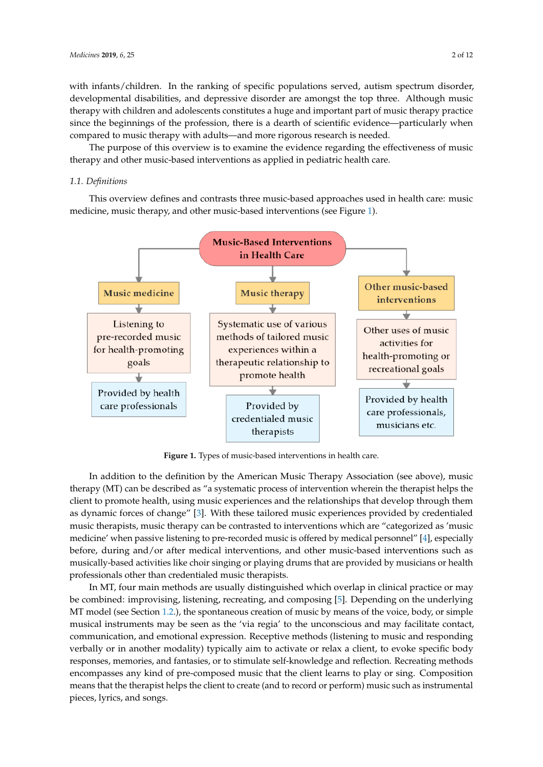with infants/children. In the ranking of specific populations served, autism spectrum disorder, developmental disabilities, and depressive disorder are amongst the top three. Although music therapy with children and adolescents constitutes a huge and important part of music therapy practice since the beginnings of the profession, there is a dearth of scientific evidence—particularly when compared to music therapy with adults—and more rigorous research is needed.

The purpose of this overview is to examine the evidence regarding the effectiveness of music therapy and other music-based interventions as applied in pediatric health care. *1.1. Definitions* 

#### *1.1. Definitions*  $D$ efinitions and contrasts the music-based approaches used in  $\mathcal{L}$

This overview defines and contrasts three music-based approaches used in health care: music medicine, music therapy, and other music-based interventions (see Figure [1\)](#page-1-0).

<span id="page-1-0"></span>

**Figure 1.** Types of music-based interventions in health care.

therapy (MT) can be described as "a systematic process of intervention wherein the therapist helps the client to promote health, using music experiences and the relationships that develop through them as dynamic forces of change" [\[3\]](#page-9-2). With these tailored music experiences provided by credentialed music therapists, music therapy can be contrasted to interventions which are "categorized as 'music therapy can be contrasted to interventions which are "categorized as 'music medicine' when passive listening to pre-recorded music is offered by medical personnel" [\[4\]](#page-9-3), especially before, during and/or after medical interventions, and other music-based interventions such as musically-based activities like choir singing or playing drums that are provided by musicians or health professionals other than credentialed music therapists.<br>
professionals other than credentialed music therapists. In addition to the definition by the American Music Therapy Association (see above), music

In MT, four main methods are usually distinguished which overlap in clinical practice or may be combined: improvising, listening, recreating, and composing [\[5\]](#page-9-4). Depending on the underlying MT model (see Section [1.2.](#page-2-0)), the spontaneous creation of music by means of the voice, body, or simple musical instruments may be seen as the 'via regia' to the unconscious and may facilitate contact, communication, and emotional expression. Receptive methods (listening to music and responding verbally or in another modality) typically aim to activate or relax a client, to evoke specific body responses, memories, and fantasies, or to stimulate self-knowledge and reflection. Recreating methods encompasses any kind of pre-composed music that the client learns to play or sing. Composition means that the therapist helps the client to create (and to record or perform) music such as instrumental pieces, lyrics, and songs.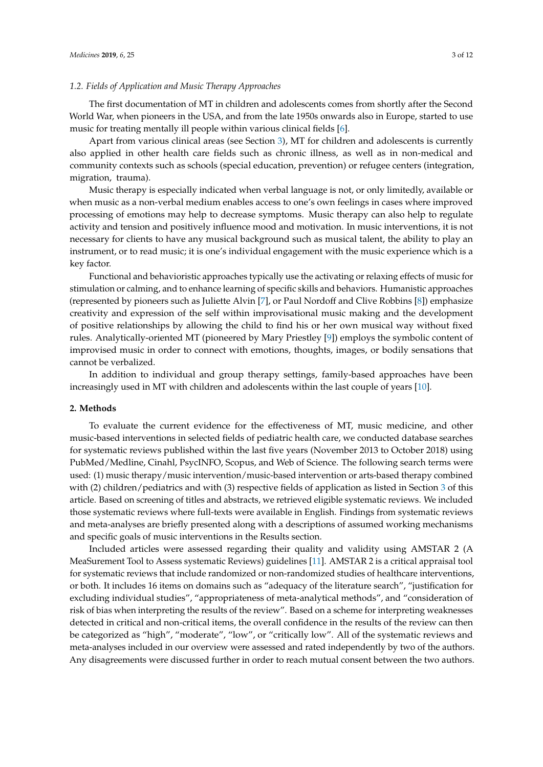#### <span id="page-2-0"></span>*1.2. Fields of Application and Music Therapy Approaches*

The first documentation of MT in children and adolescents comes from shortly after the Second World War, when pioneers in the USA, and from the late 1950s onwards also in Europe, started to use music for treating mentally ill people within various clinical fields [\[6\]](#page-9-5).

Apart from various clinical areas (see Section [3\)](#page-3-0), MT for children and adolescents is currently also applied in other health care fields such as chronic illness, as well as in non-medical and community contexts such as schools (special education, prevention) or refugee centers (integration, migration, trauma).

Music therapy is especially indicated when verbal language is not, or only limitedly, available or when music as a non-verbal medium enables access to one's own feelings in cases where improved processing of emotions may help to decrease symptoms. Music therapy can also help to regulate activity and tension and positively influence mood and motivation. In music interventions, it is not necessary for clients to have any musical background such as musical talent, the ability to play an instrument, or to read music; it is one's individual engagement with the music experience which is a key factor.

Functional and behavioristic approaches typically use the activating or relaxing effects of music for stimulation or calming, and to enhance learning of specific skills and behaviors. Humanistic approaches (represented by pioneers such as Juliette Alvin [\[7\]](#page-9-6), or Paul Nordoff and Clive Robbins [\[8\]](#page-9-7)) emphasize creativity and expression of the self within improvisational music making and the development of positive relationships by allowing the child to find his or her own musical way without fixed rules. Analytically-oriented MT (pioneered by Mary Priestley [\[9\]](#page-9-8)) employs the symbolic content of improvised music in order to connect with emotions, thoughts, images, or bodily sensations that cannot be verbalized.

In addition to individual and group therapy settings, family-based approaches have been increasingly used in MT with children and adolescents within the last couple of years [\[10\]](#page-9-9).

#### **2. Methods**

To evaluate the current evidence for the effectiveness of MT, music medicine, and other music-based interventions in selected fields of pediatric health care, we conducted database searches for systematic reviews published within the last five years (November 2013 to October 2018) using PubMed/Medline, Cinahl, PsycINFO, Scopus, and Web of Science. The following search terms were used: (1) music therapy/music intervention/music-based intervention or arts-based therapy combined with (2) children/pediatrics and with ([3](#page-3-0)) respective fields of application as listed in Section 3 of this article. Based on screening of titles and abstracts, we retrieved eligible systematic reviews. We included those systematic reviews where full-texts were available in English. Findings from systematic reviews and meta-analyses are briefly presented along with a descriptions of assumed working mechanisms and specific goals of music interventions in the Results section.

Included articles were assessed regarding their quality and validity using AMSTAR 2 (A MeaSurement Tool to Assess systematic Reviews) guidelines [\[11\]](#page-9-10). AMSTAR 2 is a critical appraisal tool for systematic reviews that include randomized or non-randomized studies of healthcare interventions, or both. It includes 16 items on domains such as "adequacy of the literature search", "justification for excluding individual studies", "appropriateness of meta-analytical methods", and "consideration of risk of bias when interpreting the results of the review". Based on a scheme for interpreting weaknesses detected in critical and non-critical items, the overall confidence in the results of the review can then be categorized as "high", "moderate", "low", or "critically low". All of the systematic reviews and meta-analyses included in our overview were assessed and rated independently by two of the authors. Any disagreements were discussed further in order to reach mutual consent between the two authors.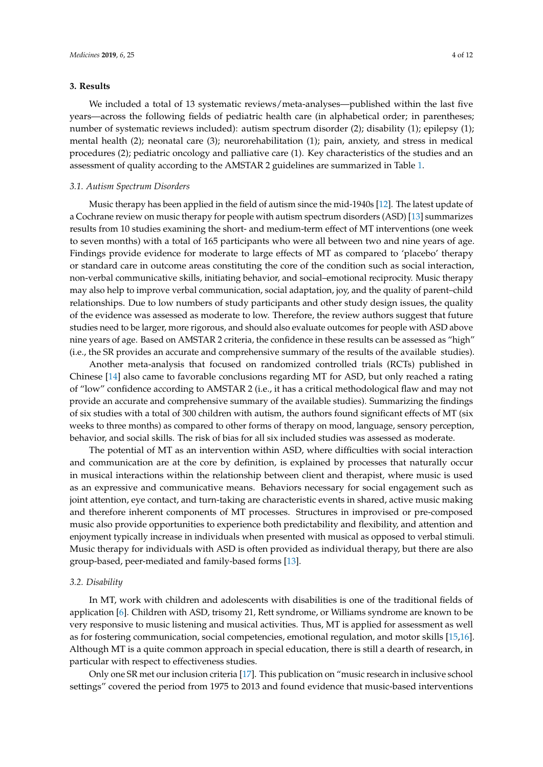### <span id="page-3-0"></span>**3. Results**

We included a total of 13 systematic reviews/meta-analyses—published within the last five years—across the following fields of pediatric health care (in alphabetical order; in parentheses;

number of systematic reviews included): autism spectrum disorder (2); disability (1); epilepsy (1); mental health (2); neonatal care (3); neurorehabilitation (1); pain, anxiety, and stress in medical procedures (2); pediatric oncology and palliative care (1). Key characteristics of the studies and an assessment of quality according to the AMSTAR 2 guidelines are summarized in Table [1.](#page-7-0)

#### *3.1. Autism Spectrum Disorders*

Music therapy has been applied in the field of autism since the mid-1940s [\[12\]](#page-9-11). The latest update of a Cochrane review on music therapy for people with autism spectrum disorders (ASD) [\[13\]](#page-9-12) summarizes results from 10 studies examining the short- and medium-term effect of MT interventions (one week to seven months) with a total of 165 participants who were all between two and nine years of age. Findings provide evidence for moderate to large effects of MT as compared to 'placebo' therapy or standard care in outcome areas constituting the core of the condition such as social interaction, non-verbal communicative skills, initiating behavior, and social–emotional reciprocity. Music therapy may also help to improve verbal communication, social adaptation, joy, and the quality of parent–child relationships. Due to low numbers of study participants and other study design issues, the quality of the evidence was assessed as moderate to low. Therefore, the review authors suggest that future studies need to be larger, more rigorous, and should also evaluate outcomes for people with ASD above nine years of age. Based on AMSTAR 2 criteria, the confidence in these results can be assessed as "high" (i.e., the SR provides an accurate and comprehensive summary of the results of the available studies).

Another meta-analysis that focused on randomized controlled trials (RCTs) published in Chinese [\[14\]](#page-10-0) also came to favorable conclusions regarding MT for ASD, but only reached a rating of "low" confidence according to AMSTAR 2 (i.e., it has a critical methodological flaw and may not provide an accurate and comprehensive summary of the available studies). Summarizing the findings of six studies with a total of 300 children with autism, the authors found significant effects of MT (six weeks to three months) as compared to other forms of therapy on mood, language, sensory perception, behavior, and social skills. The risk of bias for all six included studies was assessed as moderate.

The potential of MT as an intervention within ASD, where difficulties with social interaction and communication are at the core by definition, is explained by processes that naturally occur in musical interactions within the relationship between client and therapist, where music is used as an expressive and communicative means. Behaviors necessary for social engagement such as joint attention, eye contact, and turn-taking are characteristic events in shared, active music making and therefore inherent components of MT processes. Structures in improvised or pre-composed music also provide opportunities to experience both predictability and flexibility, and attention and enjoyment typically increase in individuals when presented with musical as opposed to verbal stimuli. Music therapy for individuals with ASD is often provided as individual therapy, but there are also group-based, peer-mediated and family-based forms [\[13\]](#page-9-12).

#### *3.2. Disability*

In MT, work with children and adolescents with disabilities is one of the traditional fields of application [\[6\]](#page-9-5). Children with ASD, trisomy 21, Rett syndrome, or Williams syndrome are known to be very responsive to music listening and musical activities. Thus, MT is applied for assessment as well as for fostering communication, social competencies, emotional regulation, and motor skills [\[15,](#page-10-1)[16\]](#page-10-2). Although MT is a quite common approach in special education, there is still a dearth of research, in particular with respect to effectiveness studies.

Only one SR met our inclusion criteria [\[17\]](#page-10-3). This publication on "music research in inclusive school settings" covered the period from 1975 to 2013 and found evidence that music-based interventions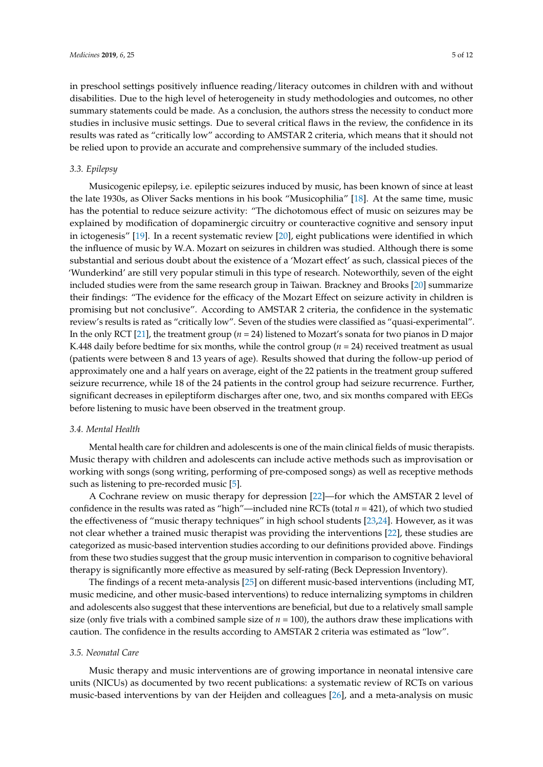in preschool settings positively influence reading/literacy outcomes in children with and without disabilities. Due to the high level of heterogeneity in study methodologies and outcomes, no other summary statements could be made. As a conclusion, the authors stress the necessity to conduct more studies in inclusive music settings. Due to several critical flaws in the review, the confidence in its results was rated as "critically low" according to AMSTAR 2 criteria, which means that it should not be relied upon to provide an accurate and comprehensive summary of the included studies.

#### *3.3. Epilepsy*

Musicogenic epilepsy, i.e. epileptic seizures induced by music, has been known of since at least the late 1930s, as Oliver Sacks mentions in his book "Musicophilia" [\[18\]](#page-10-4). At the same time, music has the potential to reduce seizure activity: "The dichotomous effect of music on seizures may be explained by modification of dopaminergic circuitry or counteractive cognitive and sensory input in ictogenesis" [\[19\]](#page-10-5). In a recent systematic review [\[20\]](#page-10-6), eight publications were identified in which the influence of music by W.A. Mozart on seizures in children was studied. Although there is some substantial and serious doubt about the existence of a 'Mozart effect' as such, classical pieces of the 'Wunderkind' are still very popular stimuli in this type of research. Noteworthily, seven of the eight included studies were from the same research group in Taiwan. Brackney and Brooks [\[20\]](#page-10-6) summarize their findings: "The evidence for the efficacy of the Mozart Effect on seizure activity in children is promising but not conclusive". According to AMSTAR 2 criteria, the confidence in the systematic review's results is rated as "critically low". Seven of the studies were classified as "quasi-experimental". In the only RCT [\[21\]](#page-10-7), the treatment group (*n* = 24) listened to Mozart's sonata for two pianos in D major K.448 daily before bedtime for six months, while the control group (*n* = 24) received treatment as usual (patients were between 8 and 13 years of age). Results showed that during the follow-up period of approximately one and a half years on average, eight of the 22 patients in the treatment group suffered seizure recurrence, while 18 of the 24 patients in the control group had seizure recurrence. Further, significant decreases in epileptiform discharges after one, two, and six months compared with EEGs before listening to music have been observed in the treatment group.

### *3.4. Mental Health*

Mental health care for children and adolescents is one of the main clinical fields of music therapists. Music therapy with children and adolescents can include active methods such as improvisation or working with songs (song writing, performing of pre-composed songs) as well as receptive methods such as listening to pre-recorded music [\[5\]](#page-9-4).

A Cochrane review on music therapy for depression [\[22\]](#page-10-8)—for which the AMSTAR 2 level of confidence in the results was rated as "high"—included nine RCTs (total *n* = 421), of which two studied the effectiveness of "music therapy techniques" in high school students [\[23,](#page-10-9)[24\]](#page-10-10). However, as it was not clear whether a trained music therapist was providing the interventions [\[22\]](#page-10-8), these studies are categorized as music-based intervention studies according to our definitions provided above. Findings from these two studies suggest that the group music intervention in comparison to cognitive behavioral therapy is significantly more effective as measured by self-rating (Beck Depression Inventory).

The findings of a recent meta-analysis [\[25\]](#page-10-11) on different music-based interventions (including MT, music medicine, and other music-based interventions) to reduce internalizing symptoms in children and adolescents also suggest that these interventions are beneficial, but due to a relatively small sample size (only five trials with a combined sample size of  $n = 100$ ), the authors draw these implications with caution. The confidence in the results according to AMSTAR 2 criteria was estimated as "low".

#### *3.5. Neonatal Care*

Music therapy and music interventions are of growing importance in neonatal intensive care units (NICUs) as documented by two recent publications: a systematic review of RCTs on various music-based interventions by van der Heijden and colleagues [\[26\]](#page-10-12), and a meta-analysis on music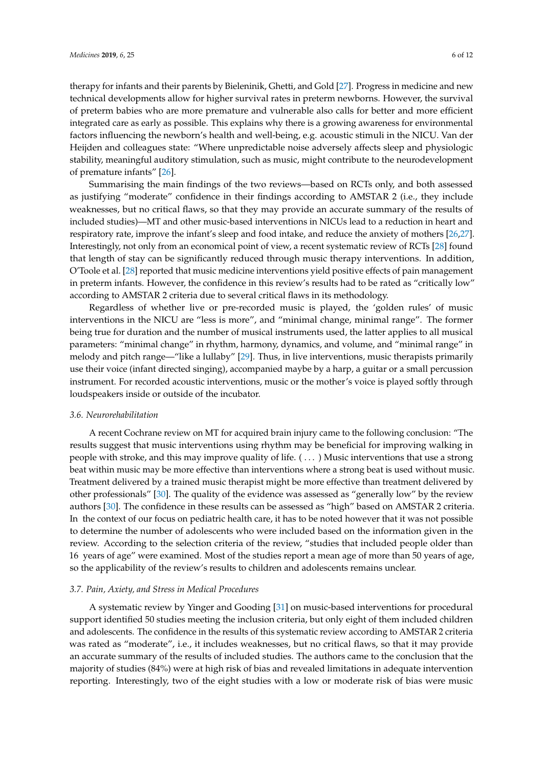therapy for infants and their parents by Bieleninik, Ghetti, and Gold [\[27\]](#page-10-13). Progress in medicine and new technical developments allow for higher survival rates in preterm newborns. However, the survival of preterm babies who are more premature and vulnerable also calls for better and more efficient integrated care as early as possible. This explains why there is a growing awareness for environmental factors influencing the newborn's health and well-being, e.g. acoustic stimuli in the NICU. Van der Heijden and colleagues state: "Where unpredictable noise adversely affects sleep and physiologic stability, meaningful auditory stimulation, such as music, might contribute to the neurodevelopment of premature infants" [\[26\]](#page-10-12).

Summarising the main findings of the two reviews—based on RCTs only, and both assessed as justifying "moderate" confidence in their findings according to AMSTAR 2 (i.e., they include weaknesses, but no critical flaws, so that they may provide an accurate summary of the results of included studies)—MT and other music-based interventions in NICUs lead to a reduction in heart and respiratory rate, improve the infant's sleep and food intake, and reduce the anxiety of mothers [\[26](#page-10-12)[,27\]](#page-10-13). Interestingly, not only from an economical point of view, a recent systematic review of RCTs [\[28\]](#page-10-14) found that length of stay can be significantly reduced through music therapy interventions. In addition, O'Toole et al. [\[28\]](#page-10-14) reported that music medicine interventions yield positive effects of pain management in preterm infants. However, the confidence in this review's results had to be rated as "critically low" according to AMSTAR 2 criteria due to several critical flaws in its methodology.

Regardless of whether live or pre-recorded music is played, the 'golden rules' of music interventions in the NICU are "less is more", and "minimal change, minimal range". The former being true for duration and the number of musical instruments used, the latter applies to all musical parameters: "minimal change" in rhythm, harmony, dynamics, and volume, and "minimal range" in melody and pitch range—"like a lullaby" [\[29\]](#page-10-15). Thus, in live interventions, music therapists primarily use their voice (infant directed singing), accompanied maybe by a harp, a guitar or a small percussion instrument. For recorded acoustic interventions, music or the mother's voice is played softly through loudspeakers inside or outside of the incubator.

# *3.6. Neurorehabilitation*

A recent Cochrane review on MT for acquired brain injury came to the following conclusion: "The results suggest that music interventions using rhythm may be beneficial for improving walking in people with stroke, and this may improve quality of life. ( . . . ) Music interventions that use a strong beat within music may be more effective than interventions where a strong beat is used without music. Treatment delivered by a trained music therapist might be more effective than treatment delivered by other professionals" [\[30\]](#page-10-16). The quality of the evidence was assessed as "generally low" by the review authors [\[30\]](#page-10-16). The confidence in these results can be assessed as "high" based on AMSTAR 2 criteria. In the context of our focus on pediatric health care, it has to be noted however that it was not possible to determine the number of adolescents who were included based on the information given in the review. According to the selection criteria of the review, "studies that included people older than 16 years of age" were examined. Most of the studies report a mean age of more than 50 years of age, so the applicability of the review's results to children and adolescents remains unclear.

#### *3.7. Pain, Axiety, and Stress in Medical Procedures*

A systematic review by Yinger and Gooding [\[31\]](#page-10-17) on music-based interventions for procedural support identified 50 studies meeting the inclusion criteria, but only eight of them included children and adolescents. The confidence in the results of this systematic review according to AMSTAR 2 criteria was rated as "moderate", i.e., it includes weaknesses, but no critical flaws, so that it may provide an accurate summary of the results of included studies. The authors came to the conclusion that the majority of studies (84%) were at high risk of bias and revealed limitations in adequate intervention reporting. Interestingly, two of the eight studies with a low or moderate risk of bias were music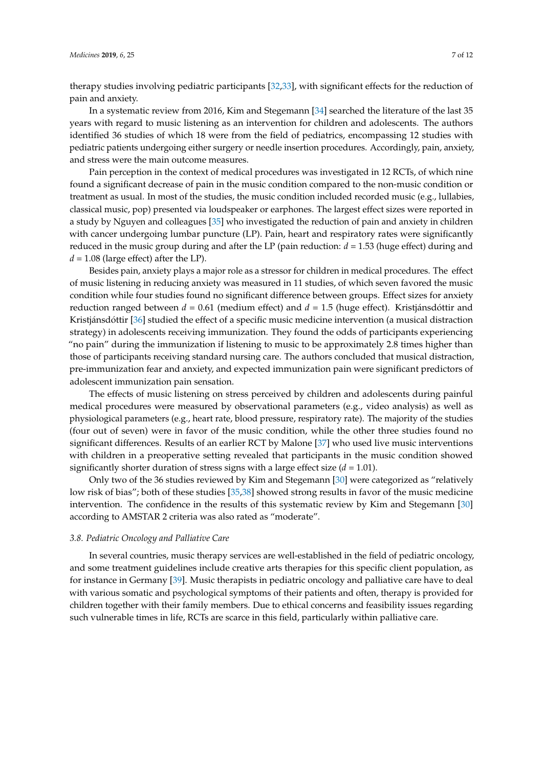therapy studies involving pediatric participants [\[32,](#page-10-18)[33\]](#page-10-19), with significant effects for the reduction of pain and anxiety.

In a systematic review from 2016, Kim and Stegemann [\[34\]](#page-10-20) searched the literature of the last 35 years with regard to music listening as an intervention for children and adolescents. The authors identified 36 studies of which 18 were from the field of pediatrics, encompassing 12 studies with pediatric patients undergoing either surgery or needle insertion procedures. Accordingly, pain, anxiety, and stress were the main outcome measures.

Pain perception in the context of medical procedures was investigated in 12 RCTs, of which nine found a significant decrease of pain in the music condition compared to the non-music condition or treatment as usual. In most of the studies, the music condition included recorded music (e.g., lullabies, classical music, pop) presented via loudspeaker or earphones. The largest effect sizes were reported in a study by Nguyen and colleagues [\[35\]](#page-10-21) who investigated the reduction of pain and anxiety in children with cancer undergoing lumbar puncture (LP). Pain, heart and respiratory rates were significantly reduced in the music group during and after the LP (pain reduction: *d* = 1.53 (huge effect) during and  $d = 1.08$  (large effect) after the LP).

Besides pain, anxiety plays a major role as a stressor for children in medical procedures. The effect of music listening in reducing anxiety was measured in 11 studies, of which seven favored the music condition while four studies found no significant difference between groups. Effect sizes for anxiety reduction ranged between *d* = 0.61 (medium effect) and *d* = 1.5 (huge effect). Kristjánsdóttir and Kristjánsdóttir [\[36\]](#page-10-22) studied the effect of a specific music medicine intervention (a musical distraction strategy) in adolescents receiving immunization. They found the odds of participants experiencing "no pain" during the immunization if listening to music to be approximately 2.8 times higher than those of participants receiving standard nursing care. The authors concluded that musical distraction, pre-immunization fear and anxiety, and expected immunization pain were significant predictors of adolescent immunization pain sensation.

The effects of music listening on stress perceived by children and adolescents during painful medical procedures were measured by observational parameters (e.g., video analysis) as well as physiological parameters (e.g., heart rate, blood pressure, respiratory rate). The majority of the studies (four out of seven) were in favor of the music condition, while the other three studies found no significant differences. Results of an earlier RCT by Malone [\[37\]](#page-10-23) who used live music interventions with children in a preoperative setting revealed that participants in the music condition showed significantly shorter duration of stress signs with a large effect size (*d* = 1.01).

Only two of the 36 studies reviewed by Kim and Stegemann [\[30\]](#page-10-16) were categorized as "relatively low risk of bias"; both of these studies [\[35,](#page-10-21)[38\]](#page-10-24) showed strong results in favor of the music medicine intervention. The confidence in the results of this systematic review by Kim and Stegemann [\[30\]](#page-10-16) according to AMSTAR 2 criteria was also rated as "moderate".

### *3.8. Pediatric Oncology and Palliative Care*

In several countries, music therapy services are well-established in the field of pediatric oncology, and some treatment guidelines include creative arts therapies for this specific client population, as for instance in Germany [\[39\]](#page-11-0). Music therapists in pediatric oncology and palliative care have to deal with various somatic and psychological symptoms of their patients and often, therapy is provided for children together with their family members. Due to ethical concerns and feasibility issues regarding such vulnerable times in life, RCTs are scarce in this field, particularly within palliative care.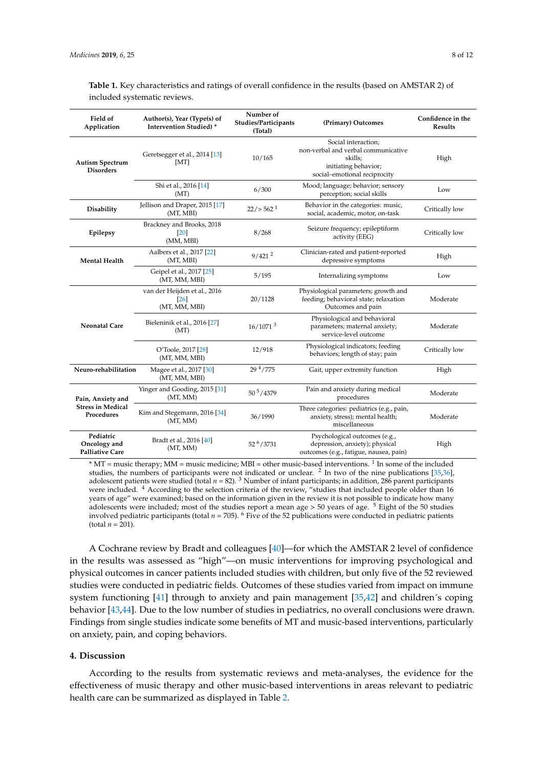|  | 8 of 1 |  |
|--|--------|--|
|  |        |  |

| Field of<br>Application                                     | Author(s), Year (Type(s) of<br>Intervention Studied) *      | Number of<br>Studies/Participants<br>(Total) | (Primary) Outcomes                                                                                                            | Confidence in the<br><b>Results</b> |
|-------------------------------------------------------------|-------------------------------------------------------------|----------------------------------------------|-------------------------------------------------------------------------------------------------------------------------------|-------------------------------------|
| <b>Autism Spectrum</b><br><b>Disorders</b>                  | Geretsegger et al., 2014 [13]<br>[MT]                       | 10/165                                       | Social interaction;<br>non-verbal and verbal communicative<br>skills:<br>initiating behavior;<br>social-emotional reciprocity | High                                |
|                                                             | Shi et al., 2016 [14]<br>(MT)                               | 6/300                                        | Mood; language; behavior; sensory<br>perception; social skills                                                                | Low                                 |
| Disability                                                  | Jellison and Draper, 2015 [17]<br>(MT, MBI)                 | $22/>562$ <sup>1</sup>                       | Behavior in the categories: music,<br>social, academic, motor, on-task                                                        | Critically low                      |
| Epilepsy                                                    | Brackney and Brooks, 2018<br>$\left[20\right]$<br>(MM, MBI) | 8/268                                        | Seizure frequency; epileptiform<br>activity (EEG)                                                                             | Critically low                      |
| <b>Mental Health</b>                                        | Aalbers et al., 2017 [22]<br>(MT, MBI)                      | 9/421 <sup>2</sup>                           | Clinician-rated and patient-reported<br>depressive symptoms                                                                   | High                                |
|                                                             | Geipel et al., 2017 [25]<br>(MT, MM, MBI)                   | 5/195                                        | Internalizing symptoms                                                                                                        | Low                                 |
|                                                             | van der Heijden et al., 2016<br><b>26</b><br>(MT, MM, MBI)  | 20/1128                                      | Physiological parameters; growth and<br>feeding; behavioral state; relaxation<br>Outcomes and pain                            | Moderate                            |
| <b>Neonatal Care</b>                                        | Bieleninik et al., 2016 [27]<br>(MT)                        | 16/1071 <sup>3</sup>                         | Physiological and behavioral<br>parameters; maternal anxiety;<br>service-level outcome                                        | Moderate                            |
|                                                             | O'Toole, 2017 [28]<br>(MT, MM, MBI)                         | 12/918                                       | Physiological indicators; feeding<br>behaviors; length of stay; pain                                                          | Critically low                      |
| Neuro-rehabilitation                                        | Magee et al., 2017 [30]<br>(MT, MM, MBI)                    | 29 <sup>4</sup> /775                         | Gait, upper extremity function                                                                                                | High                                |
| Pain, Anxiety and<br><b>Stress in Medical</b><br>Procedures | Yinger and Gooding, 2015 [31]<br>(MT, MM)                   | 50 $5/4379$                                  | Pain and anxiety during medical<br>procedures                                                                                 | Moderate                            |
|                                                             | Kim and Stegemann, 2016 [34]<br>(MT, MM)                    | 36/1990                                      | Three categories: pediatrics (e.g., pain,<br>anxiety, stress); mental health;<br>miscellaneous                                | Moderate                            |
| Pediatric<br>Oncology and<br><b>Palliative Care</b>         | Bradt et al., 2016 [40]<br>(MT, MM)                         | 52 $6/3731$                                  | Psychological outcomes (e.g.,<br>depression, anxiety); physical<br>outcomes (e.g., fatigue, nausea, pain)                     | High                                |

<span id="page-7-0"></span>**Table 1.** Key characteristics and ratings of overall confidence in the results (based on AMSTAR 2) of included systematic reviews.

 $*$  MT = music therapy; MM = music medicine; MBI = other music-based interventions. <sup>1</sup> In some of the included studies, the numbers of participants were not indicated or unclear.  $2 \text{ In two of the nine publications } [35,36]$  $2 \text{ In two of the nine publications } [35,36]$  $2 \text{ In two of the nine publications } [35,36]$ , adolescent patients were studied (total  $n = 82$ ). <sup>3</sup> Number of infant participants; in addition, 286 parent participants were included. <sup>4</sup> According to the selection criteria of the review, "studies that included people older than 16 years of age" were examined; based on the information given in the review it is not possible to indicate how many adolescents were included; most of the studies report a mean age > 50 years of age. <sup>5</sup> Eight of the 50 studies involved pediatric participants (total  $n = 705$ ). <sup>6</sup> Five of the 52 publications were conducted in pediatric patients (total  $n = 201$ ).

A Cochrane review by Bradt and colleagues [\[40\]](#page-11-1)—for which the AMSTAR 2 level of confidence in the results was assessed as "high"—on music interventions for improving psychological and physical outcomes in cancer patients included studies with children, but only five of the 52 reviewed studies were conducted in pediatric fields. Outcomes of these studies varied from impact on immune system functioning [\[41\]](#page-11-2) through to anxiety and pain management [\[35,](#page-10-21)[42\]](#page-11-3) and children´s coping behavior [\[43](#page-11-4)[,44\]](#page-11-5). Due to the low number of studies in pediatrics, no overall conclusions were drawn. Findings from single studies indicate some benefits of MT and music-based interventions, particularly on anxiety, pain, and coping behaviors.

# **4. Discussion**

According to the results from systematic reviews and meta-analyses, the evidence for the effectiveness of music therapy and other music-based interventions in areas relevant to pediatric health care can be summarized as displayed in Table [2.](#page-8-0)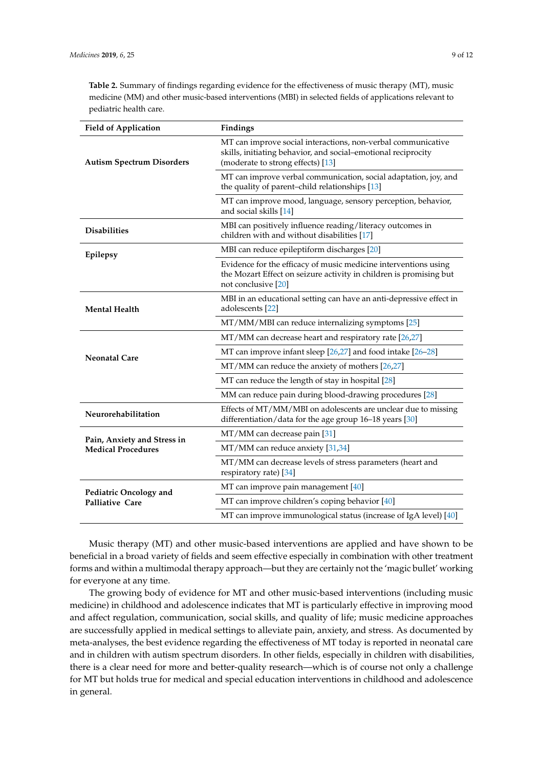<span id="page-8-0"></span>**Table 2.** Summary of findings regarding evidence for the effectiveness of music therapy (MT), music medicine (MM) and other music-based interventions (MBI) in selected fields of applications relevant to pediatric health care.

| <b>Field of Application</b>               | Findings                                                                                                                                                           |  |
|-------------------------------------------|--------------------------------------------------------------------------------------------------------------------------------------------------------------------|--|
| <b>Autism Spectrum Disorders</b>          | MT can improve social interactions, non-verbal communicative<br>skills, initiating behavior, and social-emotional reciprocity<br>(moderate to strong effects) [13] |  |
|                                           | MT can improve verbal communication, social adaptation, joy, and<br>the quality of parent-child relationships [13]                                                 |  |
|                                           | MT can improve mood, language, sensory perception, behavior,<br>and social skills [14]                                                                             |  |
| <b>Disabilities</b>                       | MBI can positively influence reading/literacy outcomes in<br>children with and without disabilities [17]                                                           |  |
| Epilepsy                                  | MBI can reduce epileptiform discharges [20]                                                                                                                        |  |
|                                           | Evidence for the efficacy of music medicine interventions using<br>the Mozart Effect on seizure activity in children is promising but<br>not conclusive [20]       |  |
| <b>Mental Health</b>                      | MBI in an educational setting can have an anti-depressive effect in<br>adolescents [22]                                                                            |  |
|                                           | MT/MM/MBI can reduce internalizing symptoms [25]                                                                                                                   |  |
|                                           | MT/MM can decrease heart and respiratory rate [26,27]                                                                                                              |  |
| <b>Neonatal Care</b>                      | MT can improve infant sleep [26,27] and food intake [26-28]                                                                                                        |  |
|                                           | MT/MM can reduce the anxiety of mothers [26,27]                                                                                                                    |  |
|                                           | MT can reduce the length of stay in hospital [28]                                                                                                                  |  |
|                                           | MM can reduce pain during blood-drawing procedures [28]                                                                                                            |  |
| Neurorehabilitation                       | Effects of MT/MM/MBI on adolescents are unclear due to missing<br>differentiation/data for the age group 16-18 years [30]                                          |  |
| Pain, Anxiety and Stress in               | MT/MM can decrease pain [31]                                                                                                                                       |  |
| <b>Medical Procedures</b>                 | MT/MM can reduce anxiety [31,34]                                                                                                                                   |  |
|                                           | MT/MM can decrease levels of stress parameters (heart and<br>respiratory rate) [34]                                                                                |  |
| Pediatric Oncology and<br>Palliative Care | MT can improve pain management [40]                                                                                                                                |  |
|                                           | MT can improve children's coping behavior [40]                                                                                                                     |  |
|                                           | MT can improve immunological status (increase of IgA level) [40]                                                                                                   |  |

Music therapy (MT) and other music-based interventions are applied and have shown to be beneficial in a broad variety of fields and seem effective especially in combination with other treatment forms and within a multimodal therapy approach—but they are certainly not the 'magic bullet' working for everyone at any time.

The growing body of evidence for MT and other music-based interventions (including music medicine) in childhood and adolescence indicates that MT is particularly effective in improving mood and affect regulation, communication, social skills, and quality of life; music medicine approaches are successfully applied in medical settings to alleviate pain, anxiety, and stress. As documented by meta-analyses, the best evidence regarding the effectiveness of MT today is reported in neonatal care and in children with autism spectrum disorders. In other fields, especially in children with disabilities, there is a clear need for more and better-quality research—which is of course not only a challenge for MT but holds true for medical and special education interventions in childhood and adolescence in general.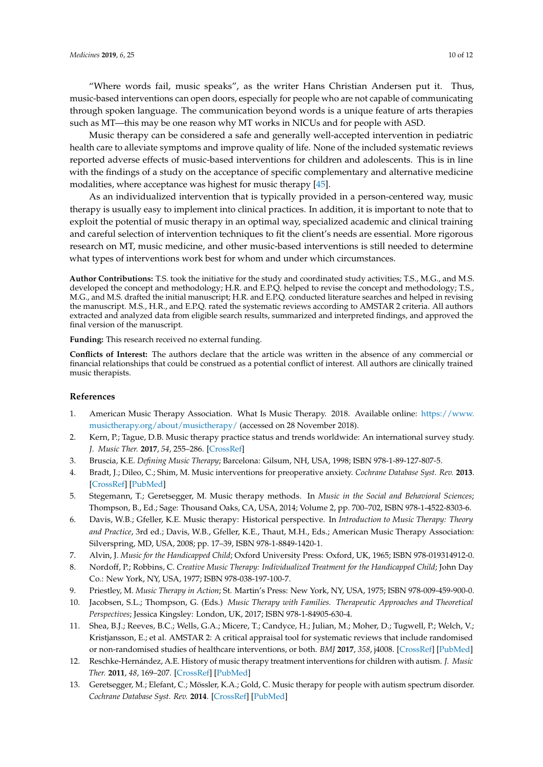"Where words fail, music speaks", as the writer Hans Christian Andersen put it. Thus, music-based interventions can open doors, especially for people who are not capable of communicating through spoken language. The communication beyond words is a unique feature of arts therapies such as MT—this may be one reason why MT works in NICUs and for people with ASD.

Music therapy can be considered a safe and generally well-accepted intervention in pediatric health care to alleviate symptoms and improve quality of life. None of the included systematic reviews reported adverse effects of music-based interventions for children and adolescents. This is in line with the findings of a study on the acceptance of specific complementary and alternative medicine modalities, where acceptance was highest for music therapy [\[45\]](#page-11-6).

As an individualized intervention that is typically provided in a person-centered way, music therapy is usually easy to implement into clinical practices. In addition, it is important to note that to exploit the potential of music therapy in an optimal way, specialized academic and clinical training and careful selection of intervention techniques to fit the client's needs are essential. More rigorous research on MT, music medicine, and other music-based interventions is still needed to determine what types of interventions work best for whom and under which circumstances.

**Author Contributions:** T.S. took the initiative for the study and coordinated study activities; T.S., M.G., and M.S. developed the concept and methodology; H.R. and E.P.Q. helped to revise the concept and methodology; T.S., M.G., and M.S. drafted the initial manuscript; H.R. and E.P.Q. conducted literature searches and helped in revising the manuscript. M.S., H.R., and E.P.Q. rated the systematic reviews according to AMSTAR 2 criteria. All authors extracted and analyzed data from eligible search results, summarized and interpreted findings, and approved the final version of the manuscript.

**Funding:** This research received no external funding.

**Conflicts of Interest:** The authors declare that the article was written in the absence of any commercial or financial relationships that could be construed as a potential conflict of interest. All authors are clinically trained music therapists.

#### **References**

- <span id="page-9-0"></span>1. American Music Therapy Association. What Is Music Therapy. 2018. Available online: [https://www.](https://www.musictherapy.org/about/musictherapy/) [musictherapy.org/about/musictherapy/](https://www.musictherapy.org/about/musictherapy/) (accessed on 28 November 2018).
- <span id="page-9-1"></span>2. Kern, P.; Tague, D.B. Music therapy practice status and trends worldwide: An international survey study. *J. Music Ther.* **2017**, *54*, 255–286. [\[CrossRef\]](http://dx.doi.org/10.1093/jmt/thx011)
- <span id="page-9-2"></span>3. Bruscia, K.E. *Defining Music Therapy*; Barcelona: Gilsum, NH, USA, 1998; ISBN 978-1-89-127-807-5.
- <span id="page-9-3"></span>4. Bradt, J.; Dileo, C.; Shim, M. Music interventions for preoperative anxiety. *Cochrane Database Syst. Rev.* **2013**. [\[CrossRef\]](http://dx.doi.org/10.1002/14651858.CD006908.pub2) [\[PubMed\]](http://www.ncbi.nlm.nih.gov/pubmed/23740695)
- <span id="page-9-4"></span>5. Stegemann, T.; Geretsegger, M. Music therapy methods. In *Music in the Social and Behavioral Sciences*; Thompson, B., Ed.; Sage: Thousand Oaks, CA, USA, 2014; Volume 2, pp. 700–702, ISBN 978-1-4522-8303-6.
- <span id="page-9-5"></span>6. Davis, W.B.; Gfeller, K.E. Music therapy: Historical perspective. In *Introduction to Music Therapy: Theory and Practice*, 3rd ed.; Davis, W.B., Gfeller, K.E., Thaut, M.H., Eds.; American Music Therapy Association: Silverspring, MD, USA, 2008; pp. 17–39, ISBN 978-1-8849-1420-1.
- <span id="page-9-6"></span>7. Alvin, J. *Music for the Handicapped Child*; Oxford University Press: Oxford, UK, 1965; ISBN 978-019314912-0.
- <span id="page-9-7"></span>8. Nordoff, P.; Robbins, C. *Creative Music Therapy: Individualized Treatment for the Handicapped Child*; John Day Co.: New York, NY, USA, 1977; ISBN 978-038-197-100-7.
- <span id="page-9-8"></span>9. Priestley, M. *Music Therapy in Action*; St. Martin's Press: New York, NY, USA, 1975; ISBN 978-009-459-900-0.
- <span id="page-9-9"></span>10. Jacobsen, S.L.; Thompson, G. (Eds.) *Music Therapy with Families. Therapeutic Approaches and Theoretical Perspectives*; Jessica Kingsley: London, UK, 2017; ISBN 978-1-84905-630-4.
- <span id="page-9-10"></span>11. Shea, B.J.; Reeves, B.C.; Wells, G.A.; Micere, T.; Candyce, H.; Julian, M.; Moher, D.; Tugwell, P.; Welch, V.; Kristjansson, E.; et al. AMSTAR 2: A critical appraisal tool for systematic reviews that include randomised or non-randomised studies of healthcare interventions, or both. *BMJ* **2017**, *358*, j4008. [\[CrossRef\]](http://dx.doi.org/10.1136/bmj.j4008) [\[PubMed\]](http://www.ncbi.nlm.nih.gov/pubmed/28935701)
- <span id="page-9-11"></span>12. Reschke-Hernández, A.E. History of music therapy treatment interventions for children with autism. *J. Music Ther.* **2011**, *48*, 169–207. [\[CrossRef\]](http://dx.doi.org/10.1093/jmt/48.2.169) [\[PubMed\]](http://www.ncbi.nlm.nih.gov/pubmed/21938891)
- <span id="page-9-12"></span>13. Geretsegger, M.; Elefant, C.; Mössler, K.A.; Gold, C. Music therapy for people with autism spectrum disorder. *Cochrane Database Syst. Rev.* **2014**. [\[CrossRef\]](http://dx.doi.org/10.1002/14651858.CD004381.pub3) [\[PubMed\]](http://www.ncbi.nlm.nih.gov/pubmed/24936966)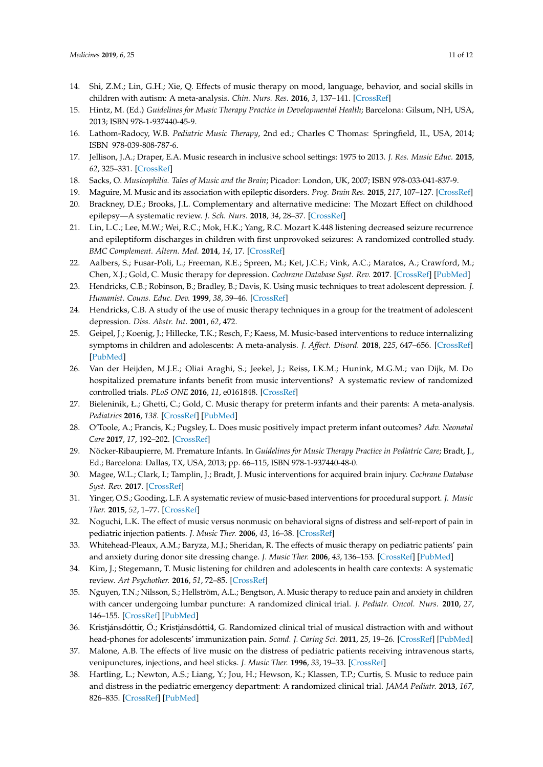- <span id="page-10-0"></span>14. Shi, Z.M.; Lin, G.H.; Xie, Q. Effects of music therapy on mood, language, behavior, and social skills in children with autism: A meta-analysis. *Chin. Nurs. Res.* **2016**, *3*, 137–141. [\[CrossRef\]](http://dx.doi.org/10.1016/j.cnre.2016.06.018)
- <span id="page-10-1"></span>15. Hintz, M. (Ed.) *Guidelines for Music Therapy Practice in Developmental Health*; Barcelona: Gilsum, NH, USA, 2013; ISBN 978-1-937440-45-9.
- <span id="page-10-2"></span>16. Lathom-Radocy, W.B. *Pediatric Music Therapy*, 2nd ed.; Charles C Thomas: Springfield, IL, USA, 2014; ISBN 978-039-808-787-6.
- <span id="page-10-3"></span>17. Jellison, J.A.; Draper, E.A. Music research in inclusive school settings: 1975 to 2013. *J. Res. Music Educ.* **2015**, *62*, 325–331. [\[CrossRef\]](http://dx.doi.org/10.1177/0022429414554808)
- <span id="page-10-4"></span>18. Sacks, O. *Musicophilia. Tales of Music and the Brain*; Picador: London, UK, 2007; ISBN 978-033-041-837-9.
- <span id="page-10-5"></span>19. Maguire, M. Music and its association with epileptic disorders. *Prog. Brain Res.* **2015**, *217*, 107–127. [\[CrossRef\]](http://dx.doi.org/10.1016/bs.pbr.2014.11.023)
- <span id="page-10-6"></span>20. Brackney, D.E.; Brooks, J.L. Complementary and alternative medicine: The Mozart Effect on childhood epilepsy—A systematic review. *J. Sch. Nurs.* **2018**, *34*, 28–37. [\[CrossRef\]](http://dx.doi.org/10.1177/1059840517740940)
- <span id="page-10-7"></span>21. Lin, L.C.; Lee, M.W.; Wei, R.C.; Mok, H.K.; Yang, R.C. Mozart K.448 listening decreased seizure recurrence and epileptiform discharges in children with first unprovoked seizures: A randomized controlled study. *BMC Complement. Altern. Med.* **2014**, *14*, 17. [\[CrossRef\]](http://dx.doi.org/10.1186/1472-6882-14-17)
- <span id="page-10-8"></span>22. Aalbers, S.; Fusar-Poli, L.; Freeman, R.E.; Spreen, M.; Ket, J.C.F.; Vink, A.C.; Maratos, A.; Crawford, M.; Chen, X.J.; Gold, C. Music therapy for depression. *Cochrane Database Syst. Rev.* **2017**. [\[CrossRef\]](http://dx.doi.org/10.1002/14651858.CD004517.pub3) [\[PubMed\]](http://www.ncbi.nlm.nih.gov/pubmed/29144545)
- <span id="page-10-9"></span>23. Hendricks, C.B.; Robinson, B.; Bradley, B.; Davis, K. Using music techniques to treat adolescent depression. *J. Humanist. Couns. Educ. Dev.* **1999**, *38*, 39–46. [\[CrossRef\]](http://dx.doi.org/10.1002/j.2164-490X.1999.tb00160.x)
- <span id="page-10-10"></span>24. Hendricks, C.B. A study of the use of music therapy techniques in a group for the treatment of adolescent depression. *Diss. Abstr. Int.* **2001**, *62*, 472.
- <span id="page-10-11"></span>25. Geipel, J.; Koenig, J.; Hillecke, T.K.; Resch, F.; Kaess, M. Music-based interventions to reduce internalizing symptoms in children and adolescents: A meta-analysis. *J. Affect. Disord.* **2018**, *225*, 647–656. [\[CrossRef\]](http://dx.doi.org/10.1016/j.jad.2017.08.035) [\[PubMed\]](http://www.ncbi.nlm.nih.gov/pubmed/28889050)
- <span id="page-10-12"></span>26. Van der Heijden, M.J.E.; Oliai Araghi, S.; Jeekel, J.; Reiss, I.K.M.; Hunink, M.G.M.; van Dijk, M. Do hospitalized premature infants benefit from music interventions? A systematic review of randomized controlled trials. *PLoS ONE* **2016**, *11*, e0161848. [\[CrossRef\]](http://dx.doi.org/10.1371/journal.pone.0161848)
- <span id="page-10-13"></span>27. Bieleninik, Ł.; Ghetti, C.; Gold, C. Music therapy for preterm infants and their parents: A meta-analysis. *Pediatrics* **2016**, *138*. [\[CrossRef\]](http://dx.doi.org/10.1542/peds.2016-0971) [\[PubMed\]](http://www.ncbi.nlm.nih.gov/pubmed/27561729)
- <span id="page-10-14"></span>28. O'Toole, A.; Francis, K.; Pugsley, L. Does music positively impact preterm infant outcomes? *Adv. Neonatal Care* **2017**, *17*, 192–202. [\[CrossRef\]](http://dx.doi.org/10.1097/ANC.0000000000000394)
- <span id="page-10-15"></span>29. Nöcker-Ribaupierre, M. Premature Infants. In *Guidelines for Music Therapy Practice in Pediatric Care*; Bradt, J., Ed.; Barcelona: Dallas, TX, USA, 2013; pp. 66–115, ISBN 978-1-937440-48-0.
- <span id="page-10-16"></span>30. Magee, W.L.; Clark, I.; Tamplin, J.; Bradt, J. Music interventions for acquired brain injury. *Cochrane Database Syst. Rev.* **2017**. [\[CrossRef\]](http://dx.doi.org/10.1002/14651858.CD006787.pub3)
- <span id="page-10-17"></span>31. Yinger, O.S.; Gooding, L.F. A systematic review of music-based interventions for procedural support. *J. Music Ther.* **2015**, *52*, 1–77. [\[CrossRef\]](http://dx.doi.org/10.1093/jmt/thv004)
- <span id="page-10-18"></span>32. Noguchi, L.K. The effect of music versus nonmusic on behavioral signs of distress and self-report of pain in pediatric injection patients. *J. Music Ther.* **2006**, *43*, 16–38. [\[CrossRef\]](http://dx.doi.org/10.1093/jmt/43.1.16)
- <span id="page-10-19"></span>33. Whitehead-Pleaux, A.M.; Baryza, M.J.; Sheridan, R. The effects of music therapy on pediatric patients' pain and anxiety during donor site dressing change. *J. Music Ther.* **2006**, *43*, 136–153. [\[CrossRef\]](http://dx.doi.org/10.1093/jmt/43.2.136) [\[PubMed\]](http://www.ncbi.nlm.nih.gov/pubmed/16897906)
- <span id="page-10-20"></span>34. Kim, J.; Stegemann, T. Music listening for children and adolescents in health care contexts: A systematic review. *Art Psychother.* **2016**, *51*, 72–85. [\[CrossRef\]](http://dx.doi.org/10.1016/j.aip.2016.08.007)
- <span id="page-10-21"></span>35. Nguyen, T.N.; Nilsson, S.; Hellström, A.L.; Bengtson, A. Music therapy to reduce pain and anxiety in children with cancer undergoing lumbar puncture: A randomized clinical trial. *J. Pediatr. Oncol. Nurs.* **2010**, *27*, 146–155. [\[CrossRef\]](http://dx.doi.org/10.1177/1043454209355983) [\[PubMed\]](http://www.ncbi.nlm.nih.gov/pubmed/20386063)
- <span id="page-10-22"></span>36. Kristjánsdóttir, Ó.; Kristjánsdótti4, G. Randomized clinical trial of musical distraction with and without head-phones for adolescents' immunization pain. *Scand. J. Caring Sci.* **2011**, *25*, 19–26. [\[CrossRef\]](http://dx.doi.org/10.1111/j.1471-6712.2010.00784.x) [\[PubMed\]](http://www.ncbi.nlm.nih.gov/pubmed/20409050)
- <span id="page-10-23"></span>37. Malone, A.B. The effects of live music on the distress of pediatric patients receiving intravenous starts, venipunctures, injections, and heel sticks. *J. Music Ther.* **1996**, *33*, 19–33. [\[CrossRef\]](http://dx.doi.org/10.1093/jmt/33.1.19)
- <span id="page-10-24"></span>38. Hartling, L.; Newton, A.S.; Liang, Y.; Jou, H.; Hewson, K.; Klassen, T.P.; Curtis, S. Music to reduce pain and distress in the pediatric emergency department: A randomized clinical trial. *JAMA Pediatr.* **2013**, *167*, 826–835. [\[CrossRef\]](http://dx.doi.org/10.1001/jamapediatrics.2013.200) [\[PubMed\]](http://www.ncbi.nlm.nih.gov/pubmed/23857075)